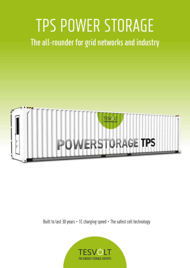# TPS POWER STORAGE

**The all-rounder for grid networks and industry**



Built to last 30 years ∙ 1C charging speed ∙ The safest cell technology

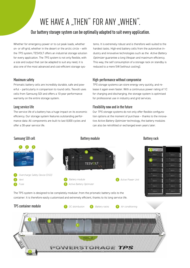## WE HAVE A "THEN" FOR ANY "WHEN".

## **Our battery storage system can be optimally adapted to suit every application.**

Whether for emergency power or to cut peak loads, whether on- or off-grid, whether in the desert or the arctic circle – with the *TPS system*, TESVOLT offers an industrial storage solution for every application. The *TPS system* is not only flexible, with a size and output that can be adapted to suit any need, it is also one of the most advanced and cost-efficient storage sys-

#### **Maximum safety**

Prismatic battery cells are incredibly durable, safe and powerful – particularly in comparison to round cells. Tesvolt uses cells from Samsung SDI and offers a 10-year performance warranty on the entire storage system.

#### **Long service life**

The service life of a battery has a huge impact on its economic efficiency. Our storage system features outstanding performance data: All components are built to last 8,000 cycles and offer a 30-year service life.

tems. It is extremely robust and is therefore well-suited to the hardest tasks. High-end battery cells from the automotive industry and innovative technologies such as the *Active Battery Optimizer* guarantee a long lifespan and maximum efficiency. This way, the self consumption of a storage rack on standby is reduced to a mere 5W (without cooling).

### **High-performance without compromise**

*TPS storage systems* can store energy very quickly, and release it again even faster. With a continuous power rating of 1C for charging and discharging, the storage system is optimised for professional use in industry and grid services.

#### **Flexibility now and in the future**

Our *TPS storage systems* do not only offer flexible configuration options at the moment of purchase – thanks to the innovative *Active Battery Optimizer* technology, the battery modules can also be retrofitted or exchanged even years later.

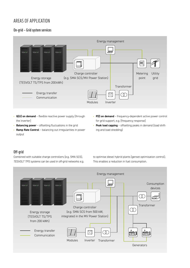## AREAS OF APPLICATION

## **On-grid – Grid system services**



- **Q(U) on demand** flexible reactive power supply (through the inverter)
- **P(f) on demand** frequency-dependent active power control for grid support, e.g. (frequency response)
- **Balancing power** offsetting fluctuations in the grid
- **Ramp Rate Control**  balancing out irregularities in power output
- **Peak load capping** offsetting peaks in demand (load shifting and load shedding)

## **Off-grid**

Combined with suitable charge controllers (e.g. SMA SCS), *TESVOLT TPS systems* can be used in off-grid networks e.g. to optimise diesel hybrid plants (genset optimisation control). This enables a reduction in fuel consumption.

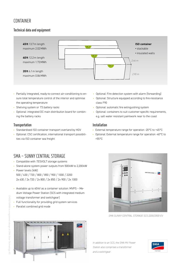## CONTAINER

## **Technical data and equipment**



- Partially integrated, ready-to-connect air-conditioning to ensure total temperature control of the interior and optimise the operating temperature
- Shelving system or *TS battery racks*
- Optional: integrated DC main distribution board for combining the battery racks

#### **Transportation**

- Standardised ISO container transport overland by HGV
- Optional: CSC certification, international transport possibilities via ISO container sea freight
- Optional: Fire detection system with alarm (forwarding)
- Optional: Structure equipped according to fire-resistance class F90
- Optional: automatic fire extinguishing system
- Optional: containers to suit customer-specific requirements, e.g. salt water resistant paintwork near to the coast

#### **Installation**

- External temperature range for operation -20 °C to +45 °C
- Optional: External temperature range for operation -40 °C to +55 °C

*SMA SUNNY CENTRAL STORAGE SCS 2200/2500-EV*

## SMA – SUNNY CENTRAL STORAGE

- Compatible with *TESVOLT storage systems*
- Stand-alone system power outputs from 500 kW to 2,200 kW • Power levels (kW):
- 500 / 630 / 720 / 800 / 850 / 900 / 1000 / 2200 2x 630 / 2x 720 / 2x 800 / 2x 850 / 2x 900 / 2x 1000
- Available up to 40 kV as a container solution: MVPS Medium Voltage Power Station (SCS with integrated medium voltage transformer and switchgear)
- Full functionality for providing grid system services
- Parallel combined grid mode



*In addition to an SCS, the SMA MV Power Station also comprises a transformer*  and a switchgear.

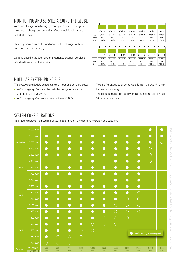## MONITORING AND SERVICE AROUND THE GLOBE

With our storage monitoring system, you can keep an eye on the state of charge and condition of each individual battery cell at all times.

This way, you can monitor and analyse the storage system both on site and remotely.

We also offer installation and maintenance support services worldwide via video livestream.

|        | $\overline{+}$ | ∓              | $\ddotplus$         | 구              | ∓              | ∓              | ∓              |
|--------|----------------|----------------|---------------------|----------------|----------------|----------------|----------------|
|        | Cell 1         | Cell 2         | Cell 3              | Cell 4         | Cell 5         | Cell 6         | Cell 7         |
| U cell | 3,446 V        | 3,458 V        | 3.444 V             | 3.485V         | 3.466 V        | 3,458V         | 3.483 V        |
| Temp   | $20^{\circ}$ C | $20^{\circ}$ C | $20^{\circ}$ C      | $20^{\circ}$ C | $20^{\circ}$ C | $20^{\circ}$ C | $20^{\circ}$ C |
| SoH    | 100 %          | 100%           | 100%                | 100%           | 100%           | 100 %          | 100%           |
|        | $\overline{+}$ | $\overline{+}$ | $\overline{+}$<br>- | $\overline{+}$ | $\overline{+}$ | ∓<br>-         | ∓              |
|        | Cell 8         | Cell 9         | Cell 10             | Cell 11        | Cell 12        | Cell 13        | Cell 14        |
| U cell | 3.446 V        | 3.458V         | 3.444 V             | 3.485V         | 3.466 V        | 3.458 V        | 3.483 V        |
| Temp   | $20^{\circ}$ C | $20^{\circ}$ C | $20^{\circ}$ C      | $20^{\circ}$ C | $20^{\circ}$ C | $20^{\circ}$ C | $20^{\circ}$ C |
| SoH    | 100 %          | 100%           | 100%                | 100%           | 100%           | 100%           | 100%           |

## MODULAR SYSTEM PRINCIPLE

*TPS systems* are flexibly adaptable to suit your operating purpose:

- *TPS storage systems* can be installed in systems with a voltage of up to 950V DC
- *TPS storage systems* are available from 200 kWh
- Three different sizes of containers (20 ft, 40 ft and 45 ft) can be used as housing
- The containers can be fitted with racks holding up to 5, 8 or 10 battery modules

## SYSTEM CONFIGURATIONS

This table displays the possible output depending on the container version and capacity.

| individual | 14,000 kWh                                |            |            |            |            |             |             |             |                                         |             | C           | ۰           |
|------------|-------------------------------------------|------------|------------|------------|------------|-------------|-------------|-------------|-----------------------------------------|-------------|-------------|-------------|
|            | 7,000 kWh                                 | $\bullet$  | $\bullet$  | $\bullet$  | $\bullet$  | $\bullet$   | $\bullet$   | $\bullet$   | $\bullet$                               | $\bullet$   | $\bullet$   | $\bullet$   |
|            | 5,000 kWh                                 | $\bullet$  | $\bullet$  | $\bullet$  | $\bullet$  | $\bullet$   | $\bullet$   | $\bullet$   | $\bullet$                               | $\bullet$   | $\bullet$   | $\bigcirc$  |
|            | 3,000 kWh                                 | $\bullet$  | $\bullet$  | $\bullet$  | $\bullet$  | $\bullet$   | $\bullet$   | $\bullet$   | $\bullet$                               | $\bullet$   | $\bigcirc$  |             |
|            | 2,000 kWh                                 | $\bullet$  | $\bullet$  | $\bullet$  | $\bullet$  | $\bullet$   | $\bullet$   | $\bullet$   | $\bullet$                               | $\bullet$   | $\bigcirc$  |             |
|            | 2,000 kWh                                 |            |            |            | $\bullet$  | $\bullet$   |             | $\bullet$   | $\bullet$                               | $\bullet$   | $\bigcirc$  |             |
| 45 ft      | 1,850 kWh                                 | $\bullet$  | $\bullet$  | $\bullet$  | $\bullet$  | $\bullet$   | C           | $\bullet$   | $\bullet$                               | $\bullet$   |             |             |
|            | 1,700 kWh                                 | $\bullet$  | $\bullet$  | $\bullet$  | $\bullet$  | $\bullet$   | $\bullet$   | $\bullet$   | $\bullet$                               | $\bullet$   |             |             |
|            | 1,700 kWh                                 |            |            |            | $\bullet$  | $\bullet$   |             | $\bullet$   | $\bullet$                               | $\bullet$   |             |             |
|            | 1,550 kWh                                 | $\bullet$  | $\bullet$  | $\bullet$  | $\bullet$  | $\bullet$   | $\bigodot$  | $\bullet$   | $\bullet$                               | $\bullet$   |             |             |
| 40 ft      | 1,400 kWh                                 | $\bullet$  | $\bullet$  | $\bullet$  | $\bullet$  | $\bullet$   | $\bullet$   | $\bullet$   | $\bullet$                               | $\bigcirc$  |             |             |
|            | 1,250 kWh                                 | $\bullet$  | $\bigodot$ | $\bullet$  | $\bullet$  | $\bullet$   | $\bullet$   | $\bullet$   | $\bigcirc$                              | $\bigcirc$  |             |             |
|            | 1,100 kWh                                 | $\bullet$  | $\bullet$  | $\bullet$  | $\bullet$  | $\bullet$   | $\bullet$   | $\bigcirc$  | $\bigcirc$                              | $\bigcirc$  |             |             |
|            | 950 kWh                                   | $\bullet$  | $\bullet$  | $\bullet$  | $\bullet$  | $\bullet$   | $\bullet$   | $\bigcirc$  | $\bigcirc$                              | $\bigcirc$  |             |             |
| 20 ft      | 800 kWh                                   | $\bullet$  | $\bigodot$ | $\bullet$  | $\bullet$  | $\bullet$   | $\bigcirc$  | $\bigcirc$  | $\bigcirc$                              |             |             |             |
|            | 650 kWh                                   | $\bullet$  | $\bullet$  | $\bullet$  | $\bullet$  | $\bigcirc$  | $\bigcirc$  | $\bigcirc$  |                                         |             |             |             |
|            | 500 kWh                                   | $\bullet$  | $\bullet$  | $\bullet$  | $\bigcirc$ | $\bigcirc$  |             |             |                                         |             |             |             |
|            | 350 kWh                                   | $\bullet$  | $\bigcirc$ | $\bigcirc$ | $\bigcirc$ |             |             |             | available<br>$\bigcirc$ on request<br>c |             |             |             |
|            | <b>200 kWh</b>                            | $\bigcirc$ | $\bigcirc$ | $\bigcirc$ |            |             |             |             |                                         |             |             |             |
| Container  | $\uparrow$ Energy<br>Output $\rightarrow$ | 500<br>kW  | 630<br>kW  | 720<br>kW  | 850<br>kW  | 1,000<br>kW | 1,260<br>kW | 1,600<br>kW | 1,800<br>kW                             | 2,000<br>kW | 4,000<br>kW | 8,000<br>kW |